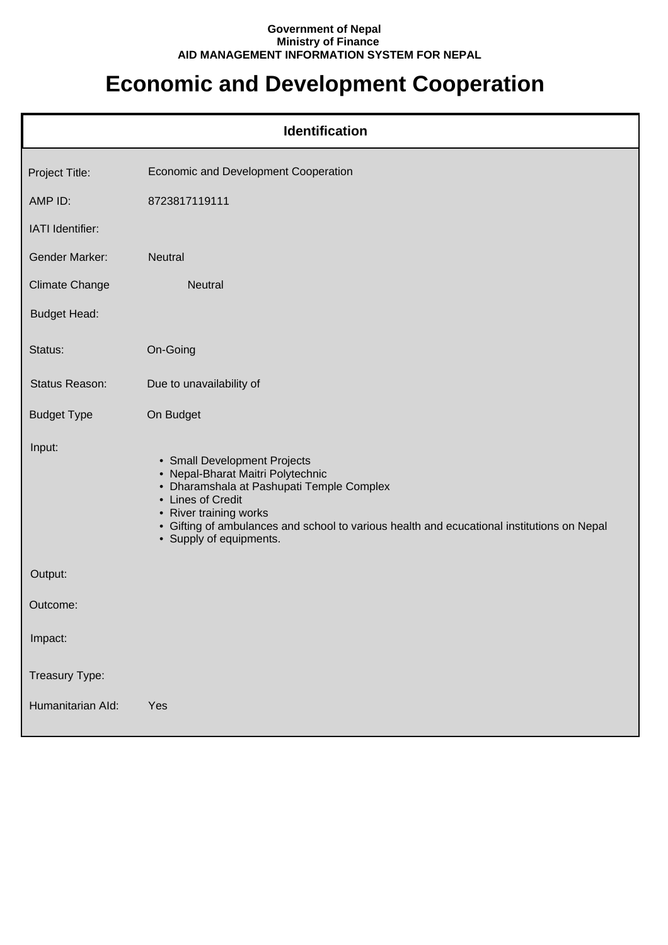## **Government of Nepal Ministry of Finance AID MANAGEMENT INFORMATION SYSTEM FOR NEPAL**

## **Economic and Development Cooperation**

| <b>Identification</b> |                                                                                                                                                                                                                                                                                        |  |
|-----------------------|----------------------------------------------------------------------------------------------------------------------------------------------------------------------------------------------------------------------------------------------------------------------------------------|--|
| Project Title:        | <b>Economic and Development Cooperation</b>                                                                                                                                                                                                                                            |  |
| AMP ID:               | 8723817119111                                                                                                                                                                                                                                                                          |  |
| IATI Identifier:      |                                                                                                                                                                                                                                                                                        |  |
| <b>Gender Marker:</b> | Neutral                                                                                                                                                                                                                                                                                |  |
| <b>Climate Change</b> | Neutral                                                                                                                                                                                                                                                                                |  |
| <b>Budget Head:</b>   |                                                                                                                                                                                                                                                                                        |  |
| Status:               | On-Going                                                                                                                                                                                                                                                                               |  |
| Status Reason:        | Due to unavailability of                                                                                                                                                                                                                                                               |  |
| <b>Budget Type</b>    | On Budget                                                                                                                                                                                                                                                                              |  |
| Input:                | • Small Development Projects<br>• Nepal-Bharat Maitri Polytechnic<br>• Dharamshala at Pashupati Temple Complex<br>• Lines of Credit<br>• River training works<br>• Gifting of ambulances and school to various health and ecucational institutions on Nepal<br>• Supply of equipments. |  |
| Output:               |                                                                                                                                                                                                                                                                                        |  |
| Outcome:              |                                                                                                                                                                                                                                                                                        |  |
| Impact:               |                                                                                                                                                                                                                                                                                        |  |
| Treasury Type:        |                                                                                                                                                                                                                                                                                        |  |
| Humanitarian Ald:     | Yes                                                                                                                                                                                                                                                                                    |  |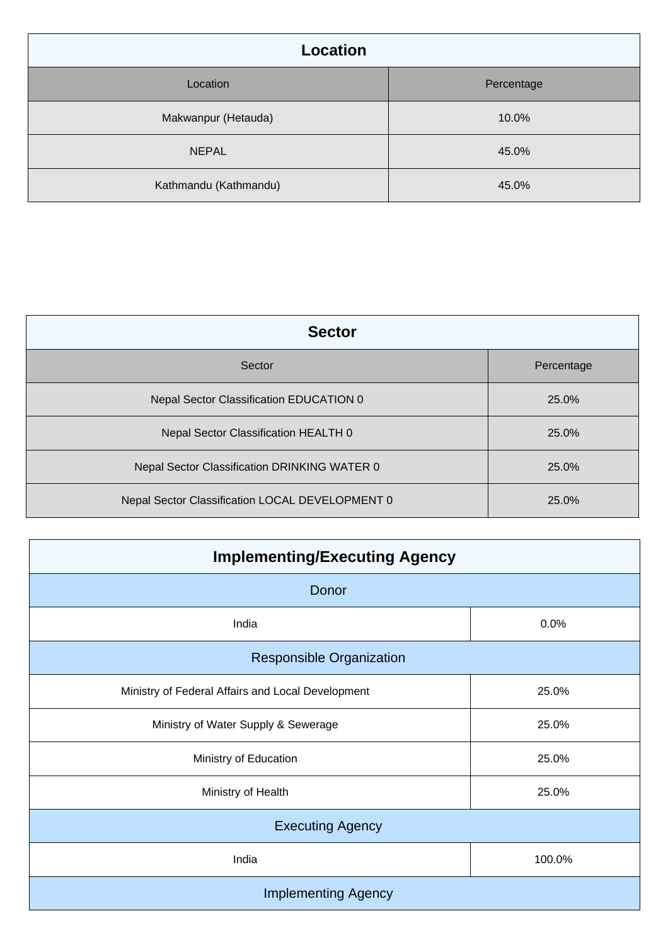| Location              |            |
|-----------------------|------------|
| Location              | Percentage |
| Makwanpur (Hetauda)   | 10.0%      |
| <b>NEPAL</b>          | 45.0%      |
| Kathmandu (Kathmandu) | 45.0%      |

| <b>Sector</b>                                   |            |
|-------------------------------------------------|------------|
| Sector                                          | Percentage |
| Nepal Sector Classification EDUCATION 0         | 25.0%      |
| Nepal Sector Classification HEALTH 0            | 25.0%      |
| Nepal Sector Classification DRINKING WATER 0    | 25.0%      |
| Nepal Sector Classification LOCAL DEVELOPMENT 0 | 25.0%      |

| <b>Implementing/Executing Agency</b>              |        |
|---------------------------------------------------|--------|
| Donor                                             |        |
| India                                             | 0.0%   |
| Responsible Organization                          |        |
| Ministry of Federal Affairs and Local Development | 25.0%  |
| Ministry of Water Supply & Sewerage               | 25.0%  |
| Ministry of Education                             | 25.0%  |
| Ministry of Health                                | 25.0%  |
| <b>Executing Agency</b>                           |        |
| India                                             | 100.0% |
| <b>Implementing Agency</b>                        |        |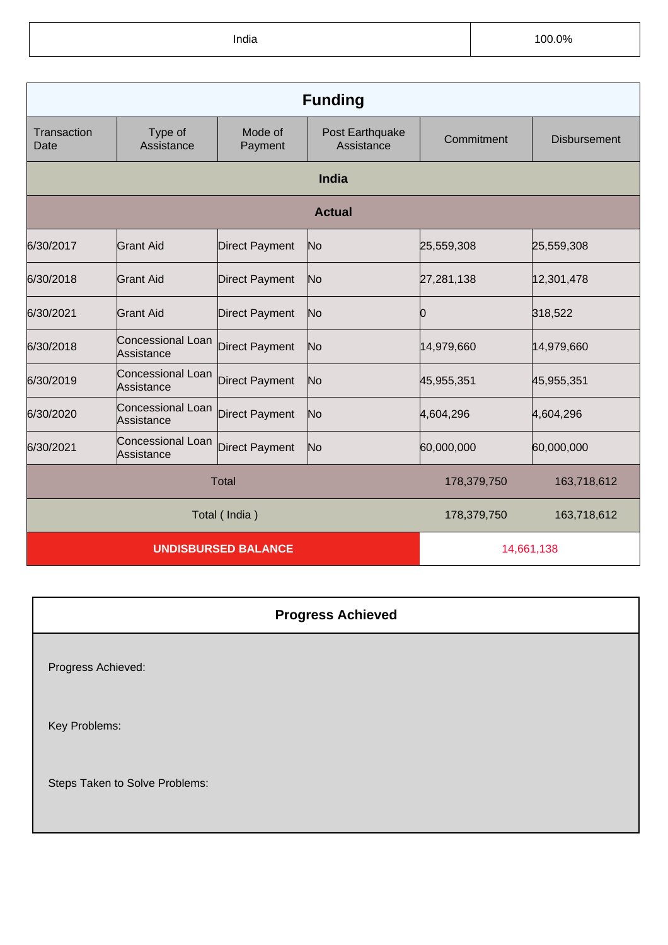India 100.0%

| <b>Funding</b>             |                                 |                       |                               |             |                     |
|----------------------------|---------------------------------|-----------------------|-------------------------------|-------------|---------------------|
| Transaction<br>Date        | Type of<br>Assistance           | Mode of<br>Payment    | Post Earthquake<br>Assistance | Commitment  | <b>Disbursement</b> |
|                            | <b>India</b>                    |                       |                               |             |                     |
|                            | <b>Actual</b>                   |                       |                               |             |                     |
| 6/30/2017                  | <b>Grant Aid</b>                | <b>Direct Payment</b> | No                            | 25,559,308  | 25,559,308          |
| 6/30/2018                  | Grant Aid                       | <b>Direct Payment</b> | No                            | 27,281,138  | 12,301,478          |
| 6/30/2021                  | Grant Aid                       | <b>Direct Payment</b> | No                            | 10          | 318,522             |
| 6/30/2018                  | Concessional Loan<br>Assistance | <b>Direct Payment</b> | No                            | 14,979,660  | 14,979,660          |
| 6/30/2019                  | Concessional Loan<br>Assistance | <b>Direct Payment</b> | No                            | 45,955,351  | 45,955,351          |
| 6/30/2020                  | Concessional Loan<br>Assistance | <b>Direct Payment</b> | No                            | 4,604,296   | 4,604,296           |
| 6/30/2021                  | Concessional Loan<br>Assistance | <b>Direct Payment</b> | No                            | 60,000,000  | 60,000,000          |
| <b>Total</b>               |                                 |                       | 178,379,750                   | 163,718,612 |                     |
| Total (India)              |                                 |                       | 178,379,750                   | 163,718,612 |                     |
| <b>UNDISBURSED BALANCE</b> |                                 |                       |                               | 14,661,138  |                     |

| <b>Progress Achieved</b>       |  |
|--------------------------------|--|
| Progress Achieved:             |  |
| Key Problems:                  |  |
| Steps Taken to Solve Problems: |  |